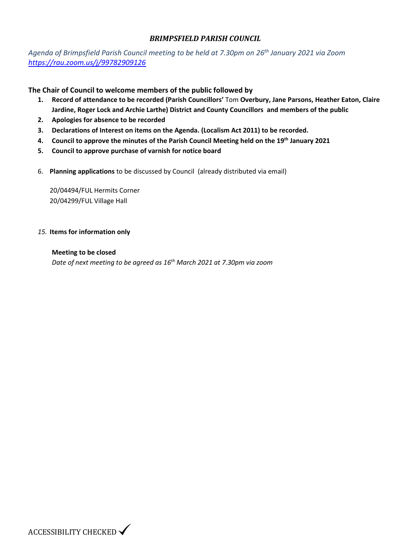## *BRIMPSFIELD PARISH COUNCIL*

*Agenda of Brimpsfield Parish Council meeting to be held at 7.30pm on 26th January 2021 via Zoom <https://rau.zoom.us/j/99782909126>*

**The Chair of Council to welcome members of the public followed by**

- **1. Record of attendance to be recorded (Parish Councillors'** Tom **Overbury, Jane Parsons, Heather Eaton, Claire Jardine, Roger Lock and Archie Larthe) District and County Councillors and members of the public**
- **2. Apologies for absence to be recorded**
- **3. Declarations of Interest on items on the Agenda. (Localism Act 2011) to be recorded.**
- **4. Council to approve the minutes of the Parish Council Meeting held on the 19th January 2021**
- **5. Council to approve purchase of varnish for notice board**
- 6. **Planning applications** to be discussed by Council (already distributed via email)

20/04494/FUL Hermits Corner 20/04299/FUL Village Hall

#### *15.* **Items for information only**

**Meeting to be closed**  *Date of next meeting to be agreed as 16th March 2021 at 7.30pm via zoom*

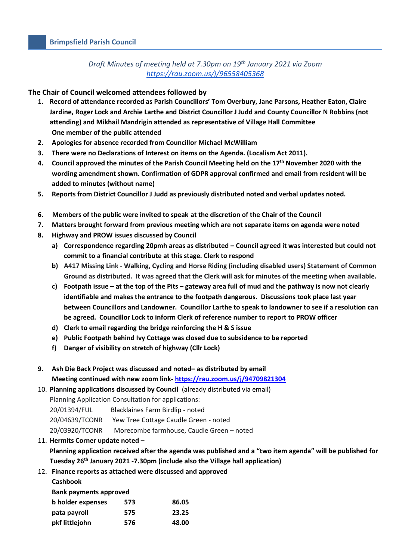# *Draft Minutes of meeting held at 7.30pm on 19th January 2021 via Zoom <https://rau.zoom.us/j/96558405368>*

### **The Chair of Council welcomed attendees followed by**

- **1. Record of attendance recorded as Parish Councillors' Tom Overbury, Jane Parsons, Heather Eaton, Claire Jardine, Roger Lock and Archie Larthe and District Councillor J Judd and County Councillor N Robbins (not attending) and Mikhail Mandrigin attended as representative of Village Hall Committee One member of the public attended**
- **2. Apologies for absence recorded from Councillor Michael McWilliam**
- **3. There were no Declarations of Interest on items on the Agenda. (Localism Act 2011).**
- **4. Council approved the minutes of the Parish Council Meeting held on the 17th November 2020 with the wording amendment shown. Confirmation of GDPR approval confirmed and email from resident will be added to minutes (without name)**
- **5. Reports from District Councillor J Judd as previously distributed noted and verbal updates noted.**
- **6. Members of the public were invited to speak at the discretion of the Chair of the Council**
- **7. Matters brought forward from previous meeting which are not separate items on agenda were noted**
- **8. Highway and PROW issues discussed by Council**
	- **a) Correspondence regarding 20pmh areas as distributed – Council agreed it was interested but could not commit to a financial contribute at this stage. Clerk to respond**
	- **b) A417 Missing Link - Walking, Cycling and Horse Riding (including disabled users) Statement of Common Ground as distributed. It was agreed that the Clerk will ask for minutes of the meeting when available.**
	- **c) Footpath issue – at the top of the Pits – gateway area full of mud and the pathway is now not clearly identifiable and makes the entrance to the footpath dangerous. Discussions took place last year between Councillors and Landowner. Councillor Larthe to speak to landowner to see if a resolution can be agreed. Councillor Lock to inform Clerk of reference number to report to PROW officer**
	- **d) Clerk to email regarding the bridge reinforcing the H & S issue**
	- **e) Public Footpath behind Ivy Cottage was closed due to subsidence to be reported**
	- **f) Danger of visibility on stretch of highway (Cllr Lock)**
- **9. Ash Die Back Project was discussed and noted– as distributed by email Meeting continued with new zoom link- <https://rau.zoom.us/j/94709821304>**
- 10. **Planning applications discussed by Council** (already distributed via email)

Planning Application Consultation for applications:

20/01394/FUL Blacklaines Farm Birdlip - noted

- 20/04639/TCONR Yew Tree Cottage Caudle Green noted
- 20/03920/TCONR Morecombe farmhouse, Caudle Green noted

## 11. **Hermits Corner update noted –**

**Planning application received after the agenda was published and a "two item agenda" will be published for Tuesday 26th January 2021 -7.30pm (include also the Village hall application)**

### 12. **Finance reports as attached were discussed and approved**

**Cashbook** 

**Bank payments approved**

| b holder expenses<br>pata payroll | 573<br>575 | 86.05<br>23.25 |
|-----------------------------------|------------|----------------|
|                                   |            |                |